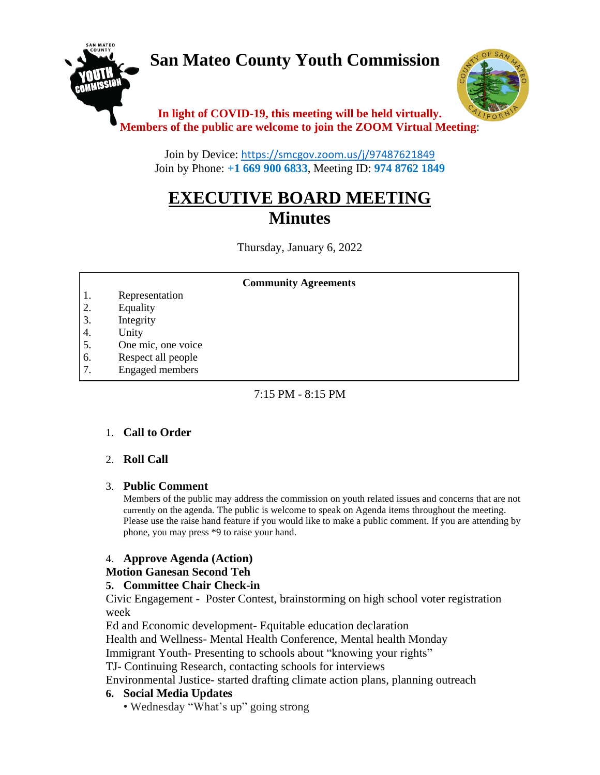# **San Mateo County Youth Commission**



# **In light of COVID-19, this meeting will be held virtually. Members of the public are welcome to join the ZOOM Virtual Meeting**:

Join by Device: <https://smcgov.zoom.us/j/97487621849> Join by Phone: **+1 669 900 6833**, Meeting ID: **974 8762 1849**

# **EXECUTIVE BOARD MEETING Minutes**

Thursday, January 6, 2022

#### **Community Agreements**

- 1. Representation
- 2. Equality
- 3. Integrity
- 4. Unity
- 5. One mic, one voice
- 6. Respect all people
- 7. Engaged members

8. Leadership and empowerment

# $7:15$  PM  $-8:15$  PM

# 1. **Call to Order**

#### 2. **Roll Call**  $15.5\,$  Commitment to policies that foster diversity, and inclusion  $\alpha$

# 3. **Public Comment**

Members of the public may address the commission on youth related issues and concerns that are not currently on the agenda. The public is welcome to speak on Agenda items throughout the meeting. Please use the raise hand feature if you would like to make a public comment. If you are attending by phone, you may press \*9 to raise your hand.

# 4. **Approve Agenda (Action)**

# **Motion Ganesan Second Teh**

# **5. Committee Chair Check-in**

Civic Engagement - Poster Contest, brainstorming on high school voter registration week

Ed and Economic development- Equitable education declaration

Health and Wellness- Mental Health Conference, Mental health Monday

Immigrant Youth- Presenting to schools about "knowing your rights"

TJ- Continuing Research, contacting schools for interviews

Environmental Justice- started drafting climate action plans, planning outreach

# **6. Social Media Updates**

• Wednesday "What's up" going strong